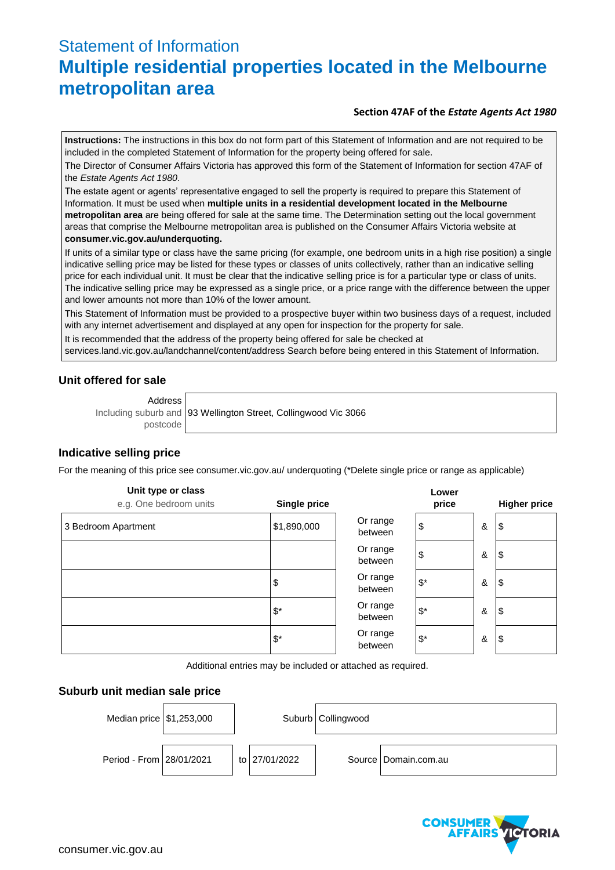# Statement of Information **Multiple residential properties located in the Melbourne metropolitan area**

#### **Section 47AF of the** *Estate Agents Act 1980*

**Instructions:** The instructions in this box do not form part of this Statement of Information and are not required to be included in the completed Statement of Information for the property being offered for sale.

The Director of Consumer Affairs Victoria has approved this form of the Statement of Information for section 47AF of the *Estate Agents Act 1980*.

The estate agent or agents' representative engaged to sell the property is required to prepare this Statement of Information. It must be used when **multiple units in a residential development located in the Melbourne metropolitan area** are being offered for sale at the same time. The Determination setting out the local government areas that comprise the Melbourne metropolitan area is published on the Consumer Affairs Victoria website at **consumer.vic.gov.au/underquoting.**

If units of a similar type or class have the same pricing (for example, one bedroom units in a high rise position) a single indicative selling price may be listed for these types or classes of units collectively, rather than an indicative selling price for each individual unit. It must be clear that the indicative selling price is for a particular type or class of units. The indicative selling price may be expressed as a single price, or a price range with the difference between the upper and lower amounts not more than 10% of the lower amount.

This Statement of Information must be provided to a prospective buyer within two business days of a request, included with any internet advertisement and displayed at any open for inspection for the property for sale.

It is recommended that the address of the property being offered for sale be checked at

services.land.vic.gov.au/landchannel/content/address Search before being entered in this Statement of Information.

#### **Unit offered for sale**

Address

Including suburb and postcode 93 Wellington Street, Collingwood Vic 3066

## **Indicative selling price**

For the meaning of this price see consumer.vic.gov.au/ underquoting (\*Delete single price or range as applicable)

| Unit type or class<br>e.g. One bedroom units | Single price     |                     | Lower<br>price   |   | <b>Higher price</b> |
|----------------------------------------------|------------------|---------------------|------------------|---|---------------------|
| 3 Bedroom Apartment                          | \$1,890,000      | Or range<br>between | \$               | & | \$                  |
|                                              |                  | Or range<br>between | \$               | & | $\frac{3}{2}$       |
|                                              | \$               | Or range<br>between | $\mathfrak{F}^*$ | & | \$                  |
|                                              | $\mathfrak{s}^*$ | Or range<br>between | $\mathfrak{s}^*$ | & | \$                  |
|                                              | $\mathfrak{s}^*$ | Or range<br>between | $\mathfrak{s}^*$ | & | \$                  |

Additional entries may be included or attached as required.

## **Suburb unit median sale price**